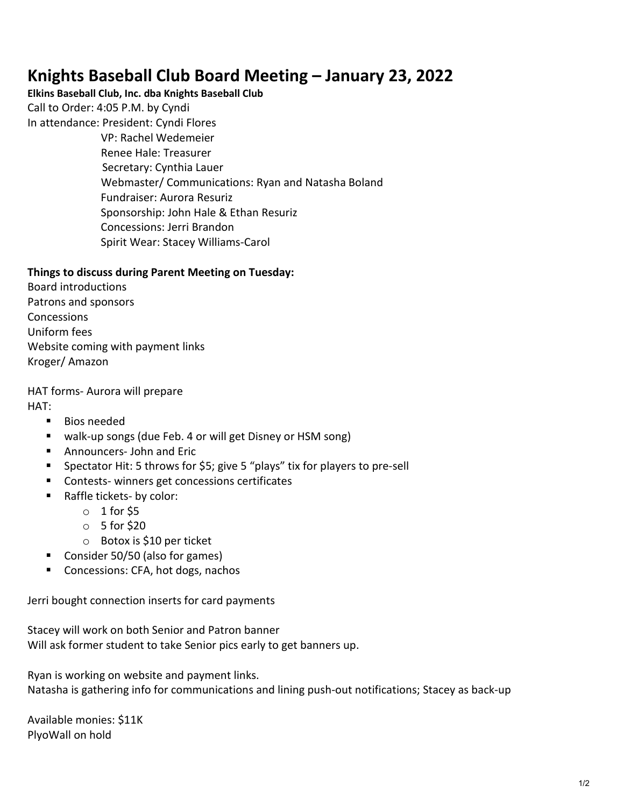## **Knights Baseball Club Board Meeting – January 23, 2022**

## **Elkins Baseball Club, Inc. dba Knights Baseball Club**

Call to Order: 4:05 P.M. by Cyndi

In attendance: President: Cyndi Flores VP: Rachel Wedemeier Renee Hale: Treasurer Secretary: Cynthia Lauer Webmaster/ Communications: Ryan and Natasha Boland Fundraiser: Aurora Resuriz Sponsorship: John Hale & Ethan Resuriz Concessions: Jerri Brandon Spirit Wear: Stacey Williams-Carol

## **Things to discuss during Parent Meeting on Tuesday:**

Board introductions Patrons and sponsors **Concessions** Uniform fees Website coming with payment links Kroger/ Amazon

HAT forms- Aurora will prepare

HAT:

- **Bios needed**
- walk-up songs (due Feb. 4 or will get Disney or HSM song)
- Announcers- John and Eric
- Spectator Hit: 5 throws for \$5; give 5 "plays" tix for players to pre-sell
- **Contests- winners get concessions certificates**
- Raffle tickets- by color:
	- $\circ$  1 for \$5
	- $\circ$  5 for \$20
	- o Botox is \$10 per ticket
- Consider 50/50 (also for games)
- Concessions: CFA, hot dogs, nachos

Jerri bought connection inserts for card payments

Stacey will work on both Senior and Patron banner Will ask former student to take Senior pics early to get banners up.

Ryan is working on website and payment links. Natasha is gathering info for communications and lining push-out notifications; Stacey as back-up

Available monies: \$11K PlyoWall on hold